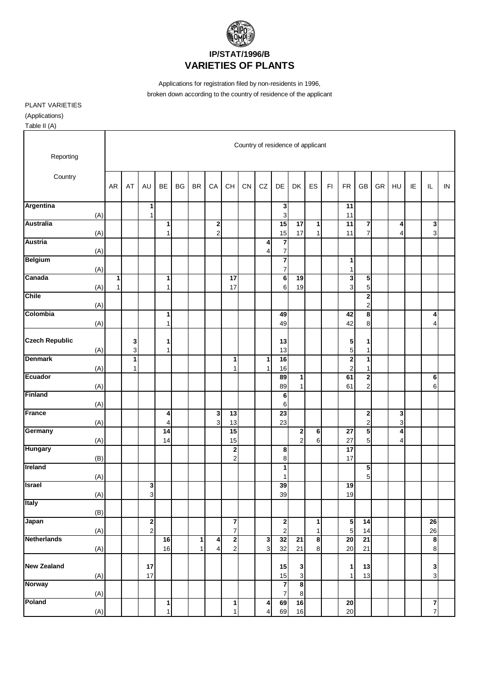

Applications for registration filed by non-residents in 1996, broken down according to the country of residence of the applicant

PLANT VARIETIES (Applications)

٦

Table II (A)

| Reporting                    |           |                  |                                    |                           |    |                   |                     |                                  |    | Country of residence of applicant |                                           |                                |                   |    |                                           |                              |    |                     |    |                   |    |
|------------------------------|-----------|------------------|------------------------------------|---------------------------|----|-------------------|---------------------|----------------------------------|----|-----------------------------------|-------------------------------------------|--------------------------------|-------------------|----|-------------------------------------------|------------------------------|----|---------------------|----|-------------------|----|
| Country                      | <b>AR</b> | AT               | <b>AU</b>                          | <b>BE</b>                 | BG | <b>BR</b>         | CA                  | CH                               | CN | CZ                                | DE                                        | <b>DK</b>                      | ES                | F1 | <b>FR</b>                                 | GB                           | GR | HU                  | IE | IL                | IN |
| Argentina<br>(A)             |           |                  | 1<br>$\mathbf{1}$                  |                           |    |                   |                     |                                  |    |                                   | 3<br>3                                    |                                |                   |    | 11<br>11                                  |                              |    |                     |    |                   |    |
| <b>Australia</b><br>(A)      |           |                  |                                    | 1<br>1                    |    |                   | 2<br>$\overline{c}$ |                                  |    |                                   | 15<br>15                                  | 17<br>17                       | 1<br>$\mathbf{1}$ |    | $\overline{11}$<br>11                     | 7<br>$\overline{7}$          |    | 4<br>$\overline{4}$ |    | $\mathbf{3}$<br>3 |    |
| <b>Austria</b><br>(A)        |           |                  |                                    |                           |    |                   |                     |                                  |    | 4<br>4                            | $\overline{\mathbf{r}}$<br>$\overline{7}$ |                                |                   |    |                                           |                              |    |                     |    |                   |    |
| <b>Belgium</b><br>(A)        |           |                  |                                    |                           |    |                   |                     |                                  |    |                                   | $\overline{\mathbf{z}}$<br>$\overline{7}$ |                                |                   |    | 1<br>$\mathbf{1}$                         |                              |    |                     |    |                   |    |
| Canada<br>(A)                | 1<br>1    |                  |                                    | 1<br>1                    |    |                   |                     | $\overline{17}$<br>17            |    |                                   | $\overline{\mathbf{6}}$<br>6              | 19<br>19                       |                   |    | 3<br>3                                    | 5<br>5                       |    |                     |    |                   |    |
| <b>Chile</b>                 |           |                  |                                    |                           |    |                   |                     |                                  |    |                                   |                                           |                                |                   |    |                                           | $\mathbf 2$<br>$\mathbf 2$   |    |                     |    |                   |    |
| (A)<br>Colombia<br>(A)       |           |                  |                                    | 1<br>1                    |    |                   |                     |                                  |    |                                   | 49<br>49                                  |                                |                   |    | 42<br>42                                  | 8<br>8                       |    |                     |    | 4<br>4            |    |
| <b>Czech Republic</b><br>(A) |           | 3<br>$\mathsf 3$ |                                    | 1<br>$\mathbf{1}$         |    |                   |                     |                                  |    |                                   | 13<br>13                                  |                                |                   |    | 5<br>5                                    | 1<br>$\mathbf{1}$            |    |                     |    |                   |    |
| <b>Denmark</b><br>(A)        |           | 1<br>1           |                                    |                           |    |                   |                     | 1<br>1                           |    | 1<br>1                            | 16<br>16                                  |                                |                   |    | $\overline{\mathbf{c}}$<br>$\overline{c}$ | 1<br>1                       |    |                     |    |                   |    |
| <b>Ecuador</b><br>(A)        |           |                  |                                    |                           |    |                   |                     |                                  |    |                                   | 89<br>89                                  | $\mathbf{1}$<br>1              |                   |    | 61<br>61                                  | 2<br>$\overline{c}$          |    |                     |    | 6<br>6            |    |
| <b>Finland</b><br>(A)        |           |                  |                                    |                           |    |                   |                     |                                  |    |                                   | 6<br>6                                    |                                |                   |    |                                           |                              |    |                     |    |                   |    |
| France<br>(A)                |           |                  |                                    | 4<br>4                    |    |                   | 3<br>3 <sup>1</sup> | $\overline{13}$<br>13            |    |                                   | $\overline{23}$<br>23                     |                                |                   |    |                                           | 2<br>$\overline{\mathbf{c}}$ |    | 3<br>3              |    |                   |    |
| Germany<br>(A)               |           |                  |                                    | 14<br>14                  |    |                   |                     | 15<br>15                         |    |                                   |                                           | $\mathbf{2}$<br>$\overline{a}$ | 6<br>6            |    | $\overline{27}$<br>27                     | $\overline{\mathbf{5}}$<br>5 |    | 4<br>4              |    |                   |    |
| <b>Hungary</b><br>(B)        |           |                  |                                    |                           |    |                   |                     | $\mathbf{2}$<br>$\overline{2}$   |    |                                   | 8<br>8                                    |                                |                   |    | $\overline{17}$<br>17                     |                              |    |                     |    |                   |    |
| <b>Ireland</b><br>(A)        |           |                  |                                    |                           |    |                   |                     |                                  |    |                                   | 1<br>1                                    |                                |                   |    |                                           | 5<br>5                       |    |                     |    |                   |    |
| <b>Israel</b><br>(A)         |           |                  | 3<br>3                             |                           |    |                   |                     |                                  |    |                                   | 39<br>39                                  |                                |                   |    | 19<br>19                                  |                              |    |                     |    |                   |    |
| Italy<br>(B)                 |           |                  |                                    |                           |    |                   |                     |                                  |    |                                   |                                           |                                |                   |    |                                           |                              |    |                     |    |                   |    |
| Japan<br>(A)                 |           |                  | $\boldsymbol{2}$<br>$\overline{a}$ |                           |    |                   |                     | $\overline{7}$<br>$\overline{7}$ |    |                                   | $\boldsymbol{2}$<br>$\overline{c}$        |                                | 1<br>1            |    | 5<br>$\sqrt{5}$                           | $\overline{14}$<br>14        |    |                     |    | 26<br>26          |    |
| <b>Netherlands</b><br>(A)    |           |                  |                                    | 16<br>16                  |    | $\mathbf{1}$<br>1 | 4<br>4              | $\overline{2}$<br>$\mathbf{2}$   |    | $\frac{3}{3}$                     | 32<br>32                                  | ${\bf 21}$<br>21               | 8<br>$\bf 8$      |    | 20<br>20                                  | 21<br>21                     |    |                     |    | $\bullet$<br>8    |    |
| <b>New Zealand</b>           |           |                  | 17<br>17                           |                           |    |                   |                     |                                  |    |                                   | 15                                        | $\mathbf{3}$<br>$\mathbf{3}$   |                   |    | 1<br>$\mathbf{1}$                         | 13<br>13                     |    |                     |    | 3                 |    |
| (A)<br><b>Norway</b>         |           |                  |                                    |                           |    |                   |                     |                                  |    |                                   | 15<br>$\overline{\mathbf{z}}$             | $\bullet$                      |                   |    |                                           |                              |    |                     |    | $\mathsf 3$       |    |
| (A)<br>Poland<br>(A)         |           |                  |                                    | $\vert$ 1<br>$\mathbf{1}$ |    |                   |                     | 1<br>1                           |    | 4<br>4                            | 7<br>69<br>69                             | 8<br>16<br>16                  |                   |    | $\overline{20}$<br>20                     |                              |    |                     |    | $\frac{1}{7}$     |    |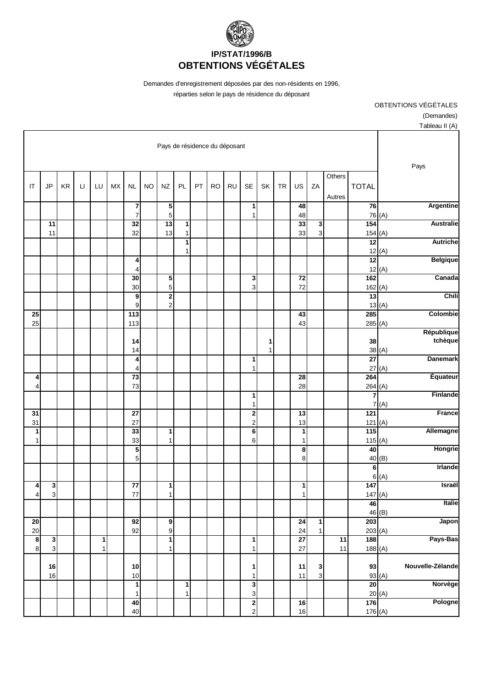

Demandes d'enregistrement déposées par des non-résidents en 1996, réparties selon le pays de résidence du déposant

| $\frac{1}{2}$         |        |                               |                  |                              |                       |           |        |                                           |           |           |    |        |                                        |           |                            |           |              |                        |    |                              |                        |
|-----------------------|--------|-------------------------------|------------------|------------------------------|-----------------------|-----------|--------|-------------------------------------------|-----------|-----------|----|--------|----------------------------------------|-----------|----------------------------|-----------|--------------|------------------------|----|------------------------------|------------------------|
|                       |        | Pays de résidence du déposant |                  |                              |                       |           |        |                                           |           |           |    |        |                                        |           |                            |           |              |                        |    |                              |                        |
| Pays                  |        |                               |                  |                              |                       |           |        |                                           |           |           |    |        |                                        |           |                            |           |              |                        |    |                              |                        |
|                       |        | <b>TOTAL</b>                  | Others<br>Autres | ZA                           | US                    | <b>TR</b> | SK     | <b>SE</b>                                 | <b>RU</b> | <b>RO</b> | PT | PL     | NZ                                     | <b>NO</b> | $\sf NL$                   | <b>MX</b> | LU           | $\mathsf{L}\mathsf{I}$ | KR | <b>JP</b>                    | $\mathsf{I}\mathsf{T}$ |
| <b>Argentine</b>      |        | 76                            |                  |                              | 48                    |           |        | 1                                         |           |           |    |        | ${\bf 5}$                              |           | 7                          |           |              |                        |    |                              |                        |
| <b>Australie</b>      | 76 (A) | $\frac{1}{154}$               |                  | $\mathbf{3}$                 | 48<br>33              |           |        | 1                                         |           |           |    | 1      | 5<br>13                                |           | $\overline{7}$<br>32       |           |              |                        |    | 11                           |                        |
| <b>Autriche</b>       |        | 154(A)<br>$\overline{12}$     |                  | 3                            | 33                    |           |        |                                           |           |           |    | 1<br>1 | 13                                     |           | 32                         |           |              |                        |    | 11                           |                        |
| <b>Belgique</b>       | 12(A)  | $\overline{12}$               |                  |                              |                       |           |        |                                           |           |           |    | 1      |                                        |           | 4                          |           |              |                        |    |                              |                        |
| Canada                | 12(A)  | 162                           |                  |                              | $\overline{72}$       |           |        | 3                                         |           |           |    |        | 5                                      |           | 4<br>30                    |           |              |                        |    |                              |                        |
|                       |        | 162(A)                        |                  |                              | 72                    |           |        | 3                                         |           |           |    |        | 5                                      |           | 30                         |           |              |                        |    |                              |                        |
| Chili                 | 13(A)  | 13                            |                  |                              |                       |           |        |                                           |           |           |    |        | $\overline{\mathbf{2}}$<br>$\mathbf 2$ |           | 9<br>9                     |           |              |                        |    |                              |                        |
| Colombie              |        | 285<br>285(A)                 |                  |                              | 43<br>43              |           |        |                                           |           |           |    |        |                                        |           | 113<br>113                 |           |              |                        |    |                              | $\overline{25}$<br>25  |
| République<br>tchèque |        | 38                            |                  |                              |                       |           |        |                                           |           |           |    |        |                                        |           | 14                         |           |              |                        |    |                              |                        |
|                       | 38(A)  |                               |                  |                              |                       |           | 1<br>1 |                                           |           |           |    |        |                                        |           | 14                         |           |              |                        |    |                              |                        |
| <b>Danemark</b>       | 27(A)  | $\overline{27}$               |                  |                              |                       |           |        | 1<br>$\mathbf{1}$                         |           |           |    |        |                                        |           | 4<br>4                     |           |              |                        |    |                              |                        |
| Équateur              |        | 264<br>264(A)                 |                  |                              | 28<br>28              |           |        |                                           |           |           |    |        |                                        |           | $\overline{73}$<br>73      |           |              |                        |    |                              | 4<br>4                 |
| Finlande              | (A)    | 7<br>7                        |                  |                              |                       |           |        | 1<br>$\mathbf{1}$                         |           |           |    |        |                                        |           |                            |           |              |                        |    |                              |                        |
| France                |        | $\overline{121}$              |                  |                              | $\overline{13}$       |           |        | $\overline{\mathbf{c}}$                   |           |           |    |        |                                        |           | $\overline{27}$            |           |              |                        |    |                              | $\overline{31}$        |
| Allemagne             |        | 121(A)<br>115                 |                  |                              | 13<br>1               |           |        | $\overline{c}$<br>$\overline{\mathbf{6}}$ |           |           |    |        | 1                                      |           | 27<br>33                   |           |              |                        |    |                              | 31<br>1                |
| Hongrie               |        | 115(A)<br>40                  |                  |                              | 1<br>8                |           |        | 6                                         |           |           |    |        | 1                                      |           | 33<br>5                    |           |              |                        |    |                              | 1                      |
| Irlande               | 40(B)  | $\overline{\mathbf{6}}$       |                  |                              | 8                     |           |        |                                           |           |           |    |        |                                        |           | 5                          |           |              |                        |    |                              |                        |
|                       | 6(A)   |                               |                  |                              |                       |           |        |                                           |           |           |    |        |                                        |           |                            |           |              |                        |    |                              |                        |
| Israël                |        | 147<br>147 $(A)$              |                  |                              | 1<br>1                |           |        |                                           |           |           |    |        | 1<br>1                                 |           | $\overline{77}$<br>$77 \,$ |           |              |                        |    | $\mathbf{3}$<br>$\mathbf{3}$ | 4<br>4                 |
| Italie                | 46 (B) | 46                            |                  |                              |                       |           |        |                                           |           |           |    |        |                                        |           |                            |           |              |                        |    |                              |                        |
| Japon                 |        | 203<br>203(A)                 |                  | $\mathbf{1}$<br>$\mathbf{1}$ | $\overline{24}$<br>24 |           |        |                                           |           |           |    |        | 9<br>9                                 |           | 92<br>92                   |           |              |                        |    |                              | $\overline{20}$<br>20  |
| Pays-Bas              |        | 188                           | 11               |                              | 27                    |           |        | $\mathbf{1}$                              |           |           |    |        | $\mathbf{1}$                           |           |                            |           | $\mathbf{1}$ |                        |    | $\mathbf{3}$                 | 8                      |
|                       |        | 188(A)                        | 11               |                              | 27                    |           |        | $\mathbf{1}$                              |           |           |    |        | $\mathbf{1}$                           |           |                            |           | $\mathbf{1}$ |                        |    | $\overline{3}$               | $\bf{8}$               |
| Nouvelle-Zélande      | 93(A)  | 93                            |                  | 3<br>$\overline{3}$          | 11<br>11              |           |        | 1<br>$\mathbf{1}$                         |           |           |    |        |                                        |           | $10$<br>$10$               |           |              |                        |    | 16<br>16                     |                        |
| Norvège               | 20(A)  | 20                            |                  |                              |                       |           |        | دى<br>$\overline{3}$                      |           |           |    | 1<br>1 |                                        |           | 1<br>$\mathbf{1}$          |           |              |                        |    |                              |                        |
| Pologne               |        | 176<br>176(A)                 |                  |                              | 16<br>16              |           |        | $\frac{2}{2}$                             |           |           |    |        |                                        |           | 40<br>40                   |           |              |                        |    |                              |                        |
|                       |        |                               |                  |                              |                       |           |        |                                           |           |           |    |        |                                        |           |                            |           |              |                        |    |                              |                        |

OBTENTIONS VÉGÉTALES (Demandes) Tableau II (A)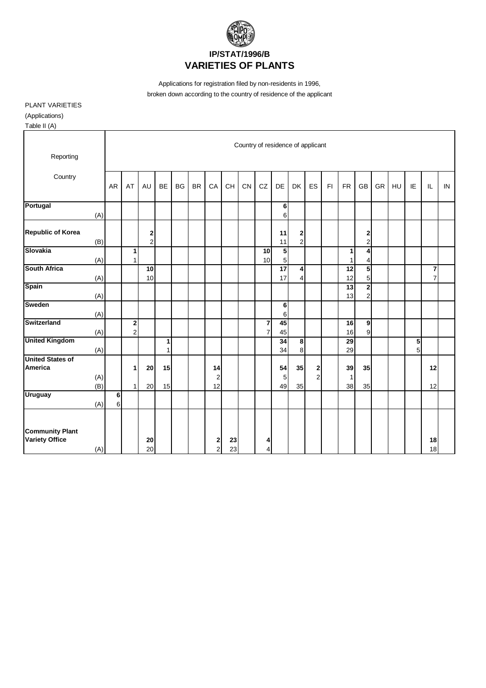

Applications for registration filed by non-residents in 1996, broken down according to the country of residence of the applicant

PLANT VARIETIES (Applications) Table II (A)

| 1001011                            |            |                                   |                |               |              |    |           |                               |    |    |                |                 |                                                |                               |                         |                    |                  |    |    |                |                |    |
|------------------------------------|------------|-----------------------------------|----------------|---------------|--------------|----|-----------|-------------------------------|----|----|----------------|-----------------|------------------------------------------------|-------------------------------|-------------------------|--------------------|------------------|----|----|----------------|----------------|----|
|                                    |            | Country of residence of applicant |                |               |              |    |           |                               |    |    |                |                 |                                                |                               |                         |                    |                  |    |    |                |                |    |
| Reporting                          |            |                                   |                |               |              |    |           |                               |    |    |                |                 |                                                |                               |                         |                    |                  |    |    |                |                |    |
| Country                            |            |                                   |                |               |              |    |           |                               |    |    |                |                 |                                                |                               |                         |                    |                  |    |    |                |                |    |
|                                    |            | AR                                | AT             | <b>AU</b>     | <b>BE</b>    | BG | <b>BR</b> | CA                            | CH | CN | CZ             | DE              | <b>DK</b>                                      | ES                            | $\mathsf{F} \mathsf{I}$ | <b>FR</b>          | GB               | GR | HU | IE             | IL             | IN |
| Portugal                           |            |                                   |                |               |              |    |           |                               |    |    |                | 6               |                                                |                               |                         |                    |                  |    |    |                |                |    |
|                                    | (A)        |                                   |                |               |              |    |           |                               |    |    |                | $6\phantom{a}$  |                                                |                               |                         |                    |                  |    |    |                |                |    |
|                                    |            |                                   |                |               |              |    |           |                               |    |    |                |                 |                                                |                               |                         |                    |                  |    |    |                |                |    |
| <b>Republic of Korea</b>           | (B)        |                                   |                | $\frac{2}{2}$ |              |    |           |                               |    |    |                | 11<br>11        | $\begin{array}{c} \mathbf{2} \\ 2 \end{array}$ |                               |                         |                    | 2<br>$\mathbf 2$ |    |    |                |                |    |
| Slovakia                           |            |                                   | 1              |               |              |    |           |                               |    |    | 10             | 5               |                                                |                               |                         | 1                  | 4                |    |    |                |                |    |
|                                    | (A)        |                                   | 1              |               |              |    |           |                               |    |    | 10             | 5               |                                                |                               |                         | 1                  | 4                |    |    |                |                |    |
| <b>South Africa</b>                |            |                                   |                | 10            |              |    |           |                               |    |    |                | $\overline{17}$ | 4                                              |                               |                         | 12                 | 5                |    |    |                | 7              |    |
|                                    | (A)        |                                   |                | 10            |              |    |           |                               |    |    |                | 17              | 4                                              |                               |                         | 12                 | 5                |    |    |                | $\overline{7}$ |    |
| <b>Spain</b>                       |            |                                   |                |               |              |    |           |                               |    |    |                |                 |                                                |                               |                         | 13                 | $\overline{2}$   |    |    |                |                |    |
|                                    | (A)        |                                   |                |               |              |    |           |                               |    |    |                |                 |                                                |                               |                         | 13                 | $\overline{c}$   |    |    |                |                |    |
| <b>Sweden</b>                      |            |                                   |                |               |              |    |           |                               |    |    |                | 6               |                                                |                               |                         |                    |                  |    |    |                |                |    |
|                                    | (A)        |                                   |                |               |              |    |           |                               |    |    |                | 6               |                                                |                               |                         |                    |                  |    |    |                |                |    |
| <b>Switzerland</b>                 |            |                                   | $\mathbf{2}$   |               |              |    |           |                               |    |    | 7              | 45              |                                                |                               |                         | 16                 | $\overline{9}$   |    |    |                |                |    |
|                                    | (A)        |                                   | $\overline{2}$ |               |              |    |           |                               |    |    | $\overline{7}$ | 45              |                                                |                               |                         | 16                 | 9                |    |    |                |                |    |
| <b>United Kingdom</b>              |            |                                   |                |               | 1            |    |           |                               |    |    |                | 34              | œ                                              |                               |                         | $\overline{29}$    |                  |    |    | 5              |                |    |
|                                    | (A)        |                                   |                |               | $\mathbf{1}$ |    |           |                               |    |    |                | 34              | 8                                              |                               |                         | 29                 |                  |    |    | 5 <sup>1</sup> |                |    |
| <b>United States of</b><br>America |            |                                   |                |               |              |    |           |                               |    |    |                |                 |                                                |                               |                         |                    |                  |    |    |                |                |    |
|                                    |            |                                   | 1              | 20            | 15           |    |           | 14                            |    |    |                | 54<br>5         | 35                                             | $\mathbf 2$<br>$\overline{2}$ |                         | 39                 | 35               |    |    |                | 12             |    |
|                                    | (A)<br>(B) |                                   | 1              | 20            | 15           |    |           | $\overline{\mathbf{c}}$<br>12 |    |    |                | 49              | 35                                             |                               |                         | $\mathbf{1}$<br>38 | 35               |    |    |                | 12             |    |
| <b>Uruguay</b>                     |            | 6                                 |                |               |              |    |           |                               |    |    |                |                 |                                                |                               |                         |                    |                  |    |    |                |                |    |
|                                    | (A)        | 6                                 |                |               |              |    |           |                               |    |    |                |                 |                                                |                               |                         |                    |                  |    |    |                |                |    |
|                                    |            |                                   |                |               |              |    |           |                               |    |    |                |                 |                                                |                               |                         |                    |                  |    |    |                |                |    |
| <b>Community Plant</b>             |            |                                   |                |               |              |    |           |                               |    |    |                |                 |                                                |                               |                         |                    |                  |    |    |                |                |    |
| <b>Variety Office</b>              |            |                                   |                | 20            |              |    |           | $\mathbf{2}$                  | 23 |    | 4              |                 |                                                |                               |                         |                    |                  |    |    |                | 18             |    |
|                                    | (A)        |                                   |                | 20            |              |    |           | $\overline{2}$                | 23 |    | 4              |                 |                                                |                               |                         |                    |                  |    |    |                | 18             |    |
|                                    |            |                                   |                |               |              |    |           |                               |    |    |                |                 |                                                |                               |                         |                    |                  |    |    |                |                |    |